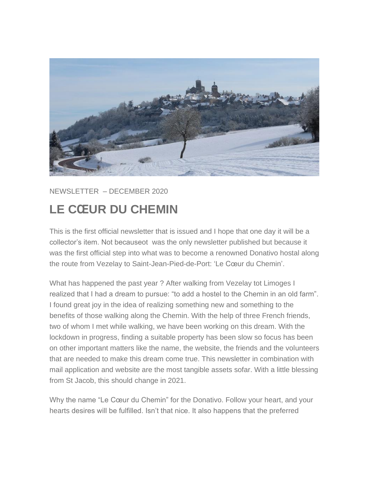

NEWSLETTER – DECEMBER 2020

## **LE CŒUR DU CHEMIN**

This is the first official newsletter that is issued and I hope that one day it will be a collector's item. Not becauseot was the only newsletter published but because it was the first official step into what was to become a renowned Donativo hostal along the route from Vezelay to Saint-Jean-Pied-de-Port: 'Le Cœur du Chemin'.

What has happened the past year ? After walking from Vezelay tot Limoges I realized that I had a dream to pursue: "to add a hostel to the Chemin in an old farm". I found great joy in the idea of realizing something new and something to the benefits of those walking along the Chemin. With the help of three French friends, two of whom I met while walking, we have been working on this dream. With the lockdown in progress, finding a suitable property has been slow so focus has been on other important matters like the name, the website, the friends and the volunteers that are needed to make this dream come true. This newsletter in combination with mail application and website are the most tangible assets sofar. With a little blessing from St Jacob, this should change in 2021.

Why the name "Le Cœur du Chemin" for the Donativo. Follow your heart, and your hearts desires will be fulfilled. Isn't that nice. It also happens that the preferred